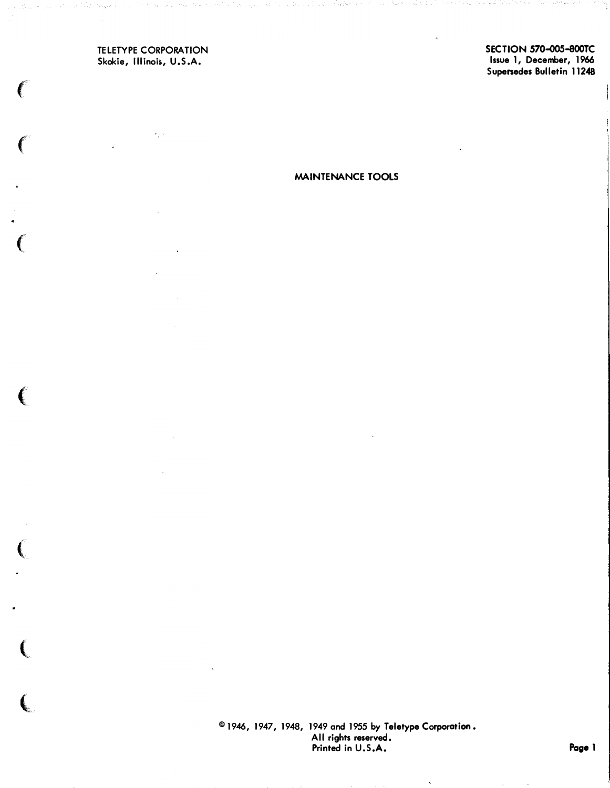TELETYPE CORPORATION Skokie, Illinois, U.S.A.

 $\big($ 

 $\left($ 

SECTION 570-oo5-800TC Issue 1, December, 1966 Supenedes Bulletin 11248

MAINTENANCE TOOLS

© 1946, 1947, 1948, 1949 and 1955 by Teletype Corporation. All rights reserved. Printed in U.S.A.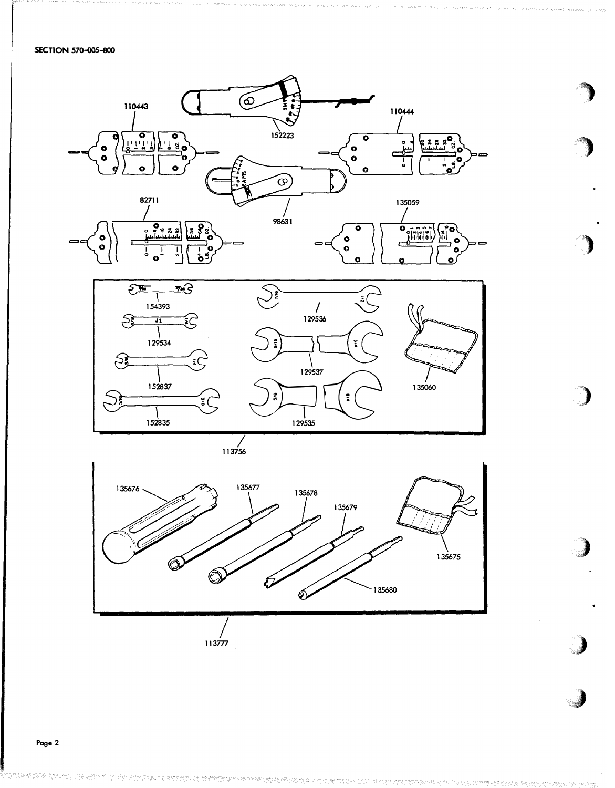SECTION 570-005-800





113756



 $\bar{\alpha}$ 

**NEW CEPA DE PROPERTIES**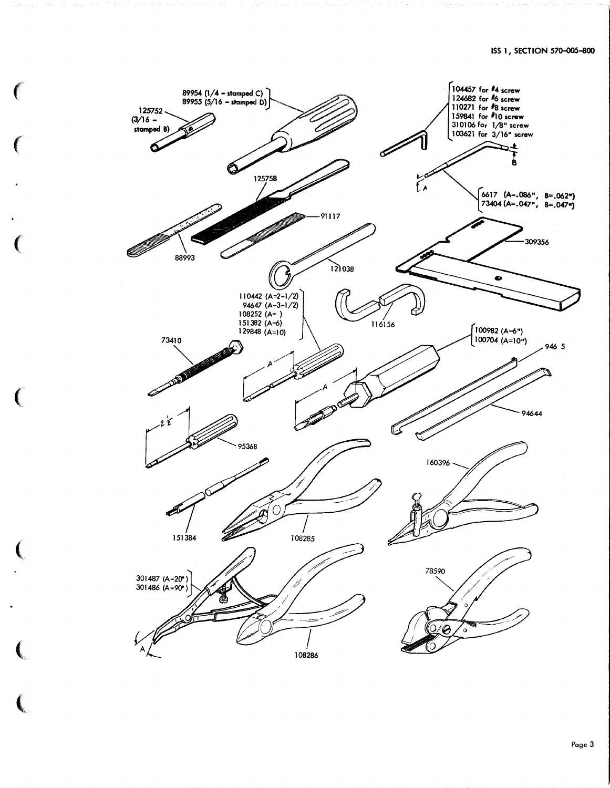

 $\mathbf C$ 

 $\left($ 

 $\big($ 

 $\overline{(\ }$ 

(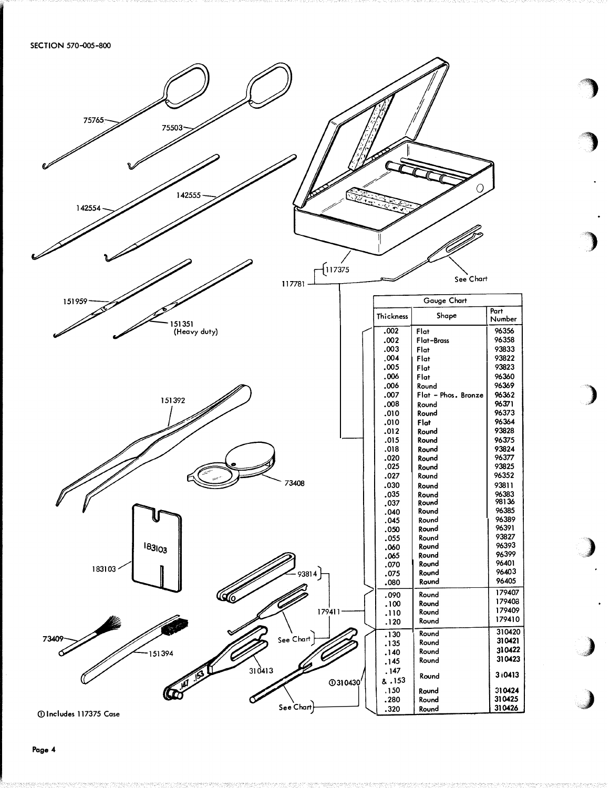

 $\mathbf{z}$ ,,

'')

'')

)

 $\boldsymbol{\ell}$ 

,)

 $\boldsymbol{\ell}$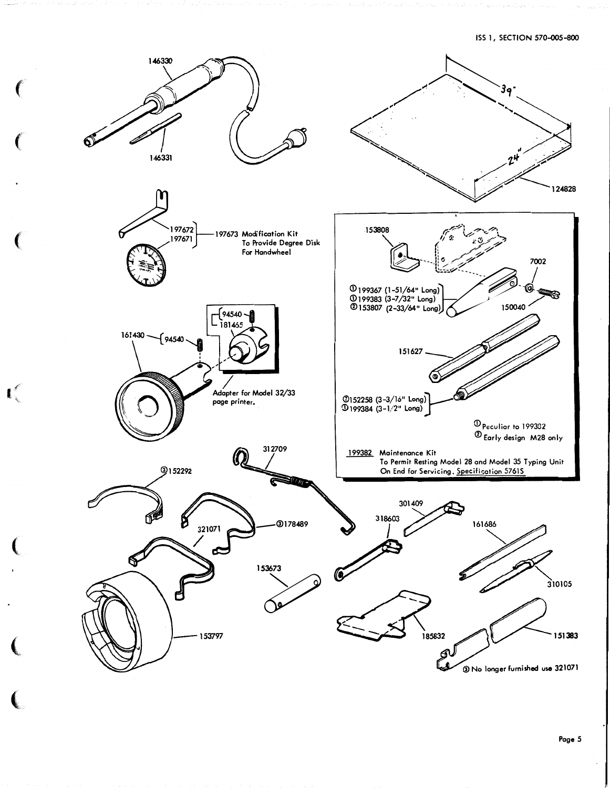ISS 1, SECTION 570-005-800



 $\mathbf{I}^{\ell}$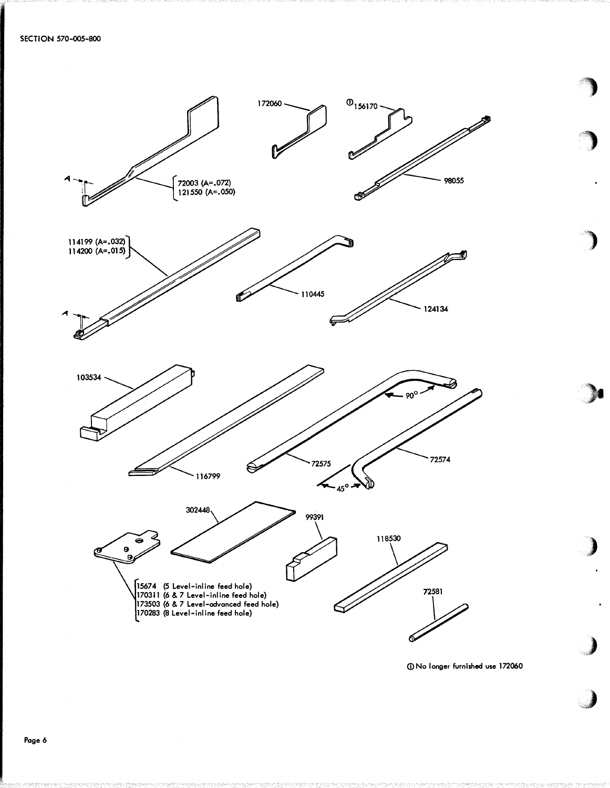

CD No longer furnished use 172060

,,,

/)

 $\overline{\phantom{a}}$ 

 $\blacksquare$ 

**)** 

,)

·�)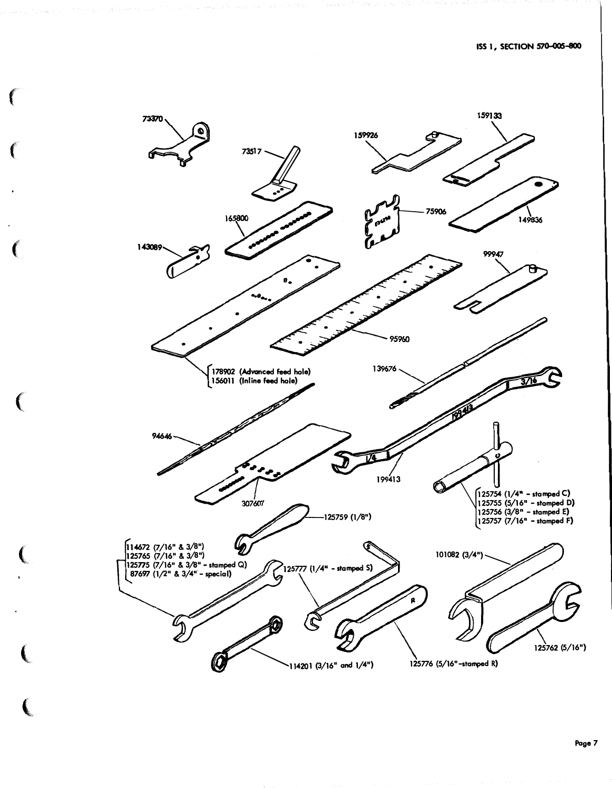

 $\left($ 

 $\big($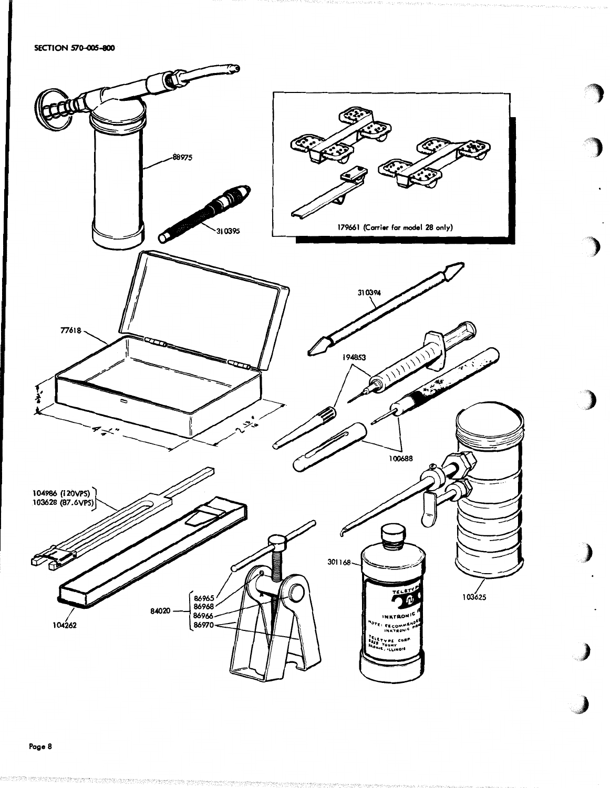SECTION 570-005-800



en de la partide de la partide de la partide de la partide de la partide de la partide de la partide de la par<br>La partide de la partide de la partide de la partide de la partide de la partide de la partide de la partide d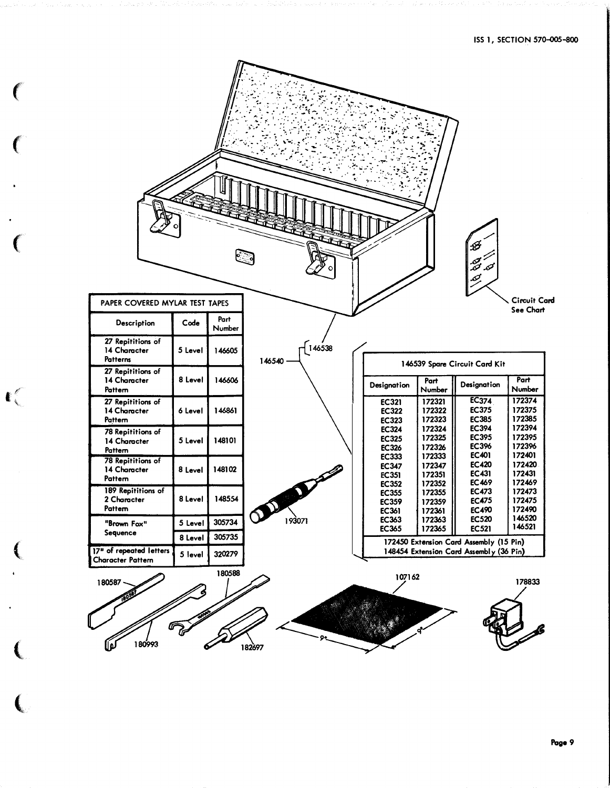| $\bullet$ |                                               |           |                | <b>REGISTER</b>                                             |                                                              |                                      | B<br>est s<br>تحقبه                                   |                                      |  |
|-----------|-----------------------------------------------|-----------|----------------|-------------------------------------------------------------|--------------------------------------------------------------|--------------------------------------|-------------------------------------------------------|--------------------------------------|--|
|           | PAPER COVERED MYLAR TEST TAPES                |           |                |                                                             |                                                              |                                      |                                                       | Circuit Card<br>See Chart            |  |
|           | Description                                   | Code      | Part<br>Number |                                                             |                                                              |                                      |                                                       |                                      |  |
|           | 27 Repititions of<br>14 Character<br>Patterns | 5 Level   | 146605         | $\begin{bmatrix} 1 & 4 & 6 & 3 & 8 \end{bmatrix}$<br>146540 |                                                              |                                      | 146539 Spare Circuit Card Kit                         |                                      |  |
|           | 27 Repititions of<br>14 Character<br>Pattern  | 8 Level   | 146606         |                                                             | Designation                                                  | Part<br>Number                       | Designation                                           | Part<br>Number                       |  |
| ៀ         | 27 Repititions of<br>14 Character<br>Pattern  | 6 Level   | 146861         |                                                             | <b>EC321</b><br><b>EC322</b><br><b>EC323</b>                 | 172321<br>172322<br>172323           | <b>EC374</b><br><b>EC375</b><br><b>EC385</b>          | 172374<br>172375<br>172385           |  |
|           | 78 Repititions of<br>14 Character<br>Pattern  | 5 Level   | 148101         |                                                             | <b>EC324</b><br><b>EC325</b><br><b>EC326</b>                 | 172324<br>172325<br>172326           | <b>EC394</b><br><b>EC395</b><br><b>EC3%</b>           | 172394<br>172395<br>172396           |  |
|           | 78 Repititions of<br>14 Character<br>Pattern  | 8 Level   | 148102         |                                                             | <b>EC333</b><br><b>EC347</b><br><b>EC351</b>                 | 172333<br>172347<br>172351           | <b>EC401</b><br><b>EC420</b><br><b>EC431</b>          | 172401<br>172420<br>172431           |  |
|           | 189 Repititions of<br>2 Character<br>Pattem   | 8 Level 1 | 148554         |                                                             | <b>EC352</b><br><b>EC355</b><br><b>EC359</b><br><b>EC361</b> | 172352<br>172355<br>172359<br>172361 | <b>EC469</b><br><b>EC473</b><br><b>EC475</b><br>EC490 | 172469<br>172473<br>172475<br>172490 |  |
|           | "Brown Fox"                                   | 5 Level   | 305734         | 193071                                                      | <b>EC363</b><br><b>EC365</b>                                 | 172363<br>172365                     | <b>EC520</b><br><b>EC521</b>                          | 146520<br>146521                     |  |
|           | Sequence                                      | 8 Level   | 305735         |                                                             |                                                              |                                      | 172450 Extension Card Assembly (15 Pin)               |                                      |  |
|           | 17" of repeated letters<br>Character Pattern  | 5 level   | 320279         |                                                             |                                                              |                                      | 148454 Extension Card Assembly (36 Pin)               |                                      |  |
|           | 180587                                        |           | 180588         |                                                             | 107162                                                       |                                      |                                                       | 178833                               |  |
|           | 180993                                        |           |                | 182697                                                      |                                                              |                                      |                                                       |                                      |  |

 $\epsilon$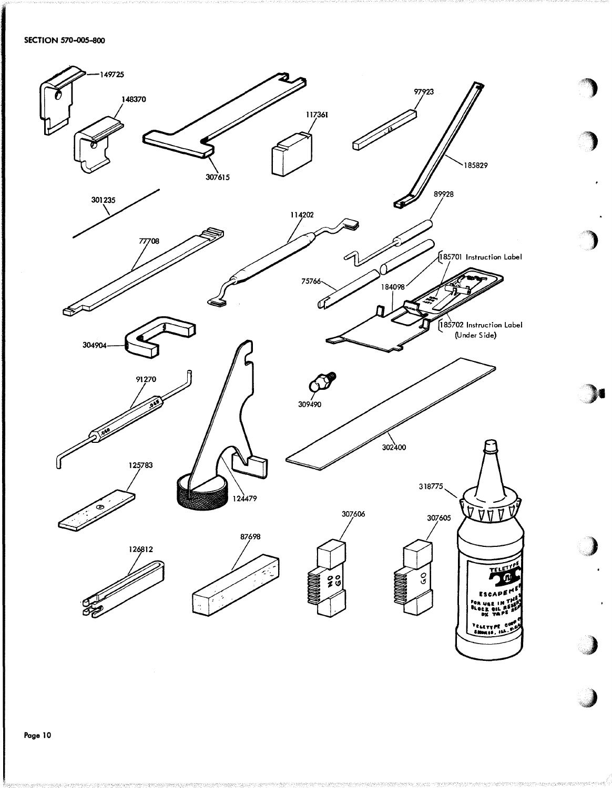

M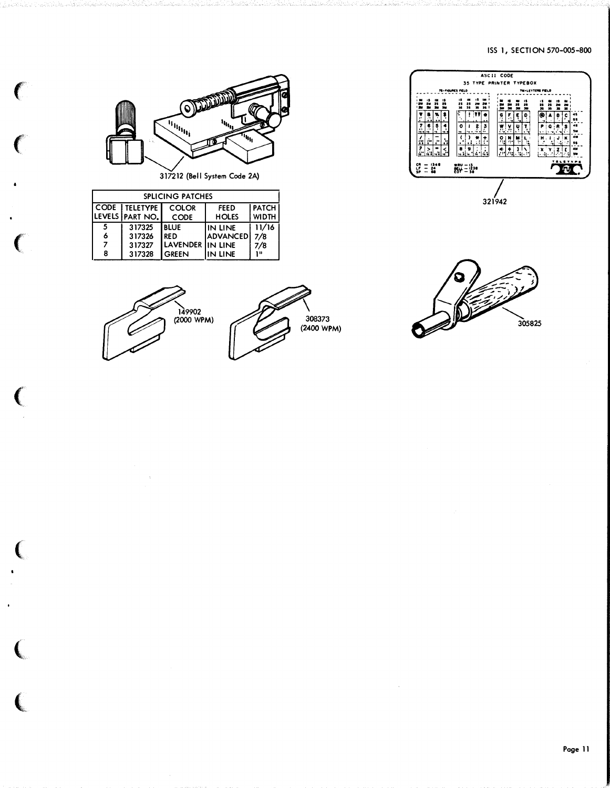#### ISS 1, SECTION 570-005-800



321942



 $\big($ 

 $\big($ 

 $\big($ 

|               | <b>SPLICING PATCHES</b> |                  |                 |              |  |  |  |  |
|---------------|-------------------------|------------------|-----------------|--------------|--|--|--|--|
| CODE TELETYPE | <b>FEED</b>             | <b>PATCH</b>     |                 |              |  |  |  |  |
|               | LEVELS PART NO.         | <b>CODE</b>      | <b>HOLES</b>    | <b>WIDTH</b> |  |  |  |  |
| 5             | 317325                  | <b>BLUE</b>      | IIN LINE        | 11/16        |  |  |  |  |
| 6             | 317326                  | I RED            | <b>ADVANCED</b> | 7/8          |  |  |  |  |
|               | 317327                  | LAVENDER IN LINE |                 | 7/8          |  |  |  |  |
| 8             | 317328                  | l Green          | IN LINE         | 18           |  |  |  |  |





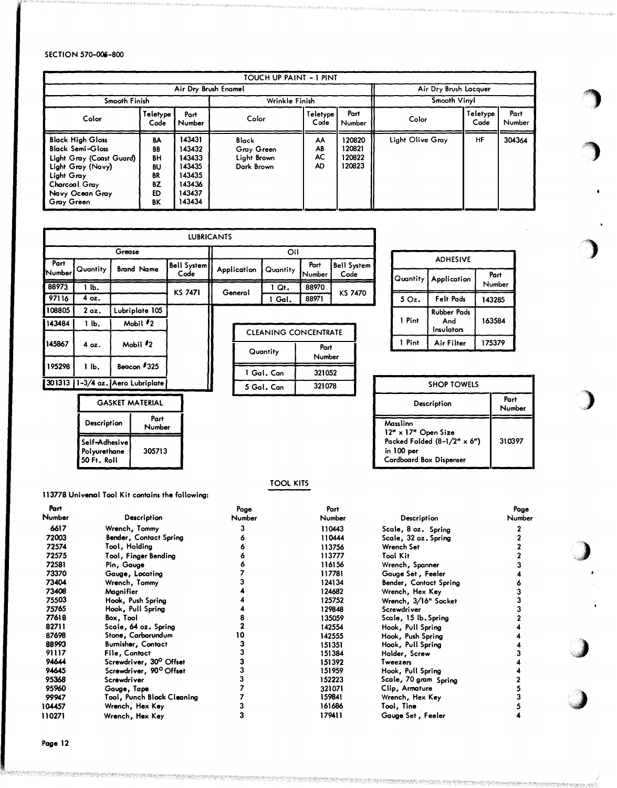#### SECTION 570-006-800

|                                                                                                                                                                     |                                              |                                                                              | TOUCH UP PAINT - 1 PINT                          |                             |                                      |                         |                  |                |
|---------------------------------------------------------------------------------------------------------------------------------------------------------------------|----------------------------------------------|------------------------------------------------------------------------------|--------------------------------------------------|-----------------------------|--------------------------------------|-------------------------|------------------|----------------|
|                                                                                                                                                                     |                                              |                                                                              | Air Dry Brush Enamel                             |                             |                                      | Air Dry Brush Lacquer   |                  |                |
| Smooth Finish                                                                                                                                                       |                                              |                                                                              | Wrinkle Finish                                   |                             |                                      | Smooth Vinyl            |                  |                |
| Color                                                                                                                                                               | Teletype<br>Code                             | Part<br>Number                                                               | Color                                            | Teletype'<br>Code           | Part<br>Number                       | Color                   | Teletype<br>Code | Part<br>Number |
| <b>Black High Gloss</b><br><b>Black Semi-Gloss</b><br>Light Gray (Coast Guard)<br>Light Gray (Navy)<br>Light Gray<br>Charcoal Gray<br>Navy Ocean Gray<br>Gray Green | BA<br>BB<br>ΒH<br>BU<br>BR<br>BZ<br>ED<br>ΒK | 143431<br>143432<br>143433<br>143435<br>143435<br>143436<br>143437<br>143434 | Black<br>Gray Green<br>Light Brown<br>Dark Brown | AA<br>AB<br>AC<br><b>AD</b> | 120820<br>120821<br>120822<br>120823 | <b>Light Olive Gray</b> | HF               | 304364         |

|                | <b>LUBRICANTS</b> |                                  |                            |  |             |                                         |                |                            |  |  |  |
|----------------|-------------------|----------------------------------|----------------------------|--|-------------|-----------------------------------------|----------------|----------------------------|--|--|--|
|                |                   | Grease                           |                            |  |             | Oil                                     |                |                            |  |  |  |
| Part<br>Number | Quantity          | <b>Brand Name</b>                | <b>Bell System</b><br>Code |  | Application | Quantity                                | Part<br>Number | <b>Bell System</b><br>Code |  |  |  |
| 88973          | l Ib.             |                                  | <b>KS 7471</b>             |  |             | I Qt.                                   | 88970          |                            |  |  |  |
| 97116          | 4 oz.             |                                  |                            |  | General     | 1 Gal.                                  | 88971          | KS 7470                    |  |  |  |
| 108805         | 2 <sub>az</sub>   | Lubriplate 105                   |                            |  |             |                                         |                |                            |  |  |  |
| 143484         | lЬ.               | Mobil $\#2$                      |                            |  |             |                                         |                |                            |  |  |  |
| 145867         | 4 oz.             | Mobil $\frac{1}{2}$              |                            |  |             | <b>CLEANING CONCENTRATE</b><br>Quantity | Part<br>Number |                            |  |  |  |
| 195298         | 1 lb.             | Beacon #325                      |                            |  |             | 1 Gal. Can                              | 321052         |                            |  |  |  |
|                |                   | 301313 1-3/4 oz. Aero Lubriplate |                            |  |             | 5 Gal. Can                              | 321078         |                            |  |  |  |

GASKET MATERIAL.

Number

Description Part

Polyurethane 305/13

Self-Adhesive

50 Ft. Rail

| <b>ADHESIVE</b> |                                         |                |  |  |  |  |
|-----------------|-----------------------------------------|----------------|--|--|--|--|
|                 | Quantity   Application                  | Part<br>Number |  |  |  |  |
| 5Qz.            | Felt Pads                               | 143285         |  |  |  |  |
| 1 Pint          | <b>Rubber Pads</b><br>And<br>Insulators | 163584         |  |  |  |  |
| 1 Pint          | Air Filter                              | 175379         |  |  |  |  |

gradurio (1988).<br>District de la proporción de la proporción de la proporción de la proporción de la proporción de la proporción<br>District de la proporción de la proporción de la proporción de la proporción de la proporción

,.,

)

)

 $\bigcup$ 

 $\lambda$ 

•;j

| <b>SHOP TOWELS</b>                                                                                                    |                |
|-----------------------------------------------------------------------------------------------------------------------|----------------|
| Description                                                                                                           | Part<br>Number |
| Masslinn<br>12" x 17" Open Size<br>Packed Folded $(8-1/2n \times 6n)$<br>in 100 per<br><b>Cardboard Box Dispenser</b> | 310397         |

# TOOL KITS

|        | 113778 Universal Tool Kit contains the following: |        |        |                        |        |
|--------|---------------------------------------------------|--------|--------|------------------------|--------|
| Part   |                                                   | Page   | Part   |                        | Page   |
| Number | <b>Description</b>                                | Number | Number | <b>Description</b>     | Number |
| 6617   | Wrench, Tommy                                     |        | 110443 | Scale, 8 oz. Spring    |        |
| 72003  | Bender, Contact Spring                            |        | 110444 | Scale, 32 oz. Spring   |        |
| 72574  | Tool, Holding                                     |        | 113756 | Wrench Set             |        |
| 72575  | Tool, Finger Bending                              |        | 113777 | Tool Kit               |        |
| 72581  | Pin, Gauge                                        |        | 116156 | Wrench, Spanner        |        |
| 73370  | Gauge, Locating                                   |        | 117781 | Gauge Set, Feeler      |        |
| 73404  | Wrench, Tommy                                     |        | 124134 | Bender, Contact Spring |        |
| 73408  | Magnifier                                         |        | 124682 | Wrench, Hex Key        |        |
| 75503  | Hook, Push Spring                                 |        | 125752 | Wrench, 3/16" Socket   |        |
| 75765  | Hook, Pull Spring                                 |        | 129848 | Screwdriver            |        |
| 77618  | Box, Tool                                         |        | 135059 | Scale, 15 lb. Spring   |        |
| 82711  | Scale, 64 oz. Spring                              |        | 142554 | Hook, Pull Spring      |        |
| 87698  | Stone, Carborundum                                | 10     | 142555 | Hook, Push Spring      |        |
| 88993  | Burnisher, Contact                                |        | 151351 | Hook, Pull Spring      |        |
| 91117  | File, Contact                                     |        | 151384 | Holder, Screw          |        |
| 94644  | Screwdriver, 30° Offset                           |        | 151392 | Tweezers               |        |
| 94645  | Screwdriver, 90° Offset                           |        | 151959 | Hook, Pull Spring      |        |
| 95368  | Screwdriver                                       |        | 152223 | Scale, 70 gram Spring  |        |
| 95960  | Gauge, Tape                                       |        | 321071 | Clip, Armature         |        |
| 99947  | Tool, Punch Block Cleaning                        |        | 159841 | Wrench, Hex Key        |        |
| 104457 | Wrench, Hex Key                                   |        | 161686 | Tool, Tine             |        |
| 110271 | Wrench, Hex Key                                   |        | 179411 | Gauge Set, Feeler      |        |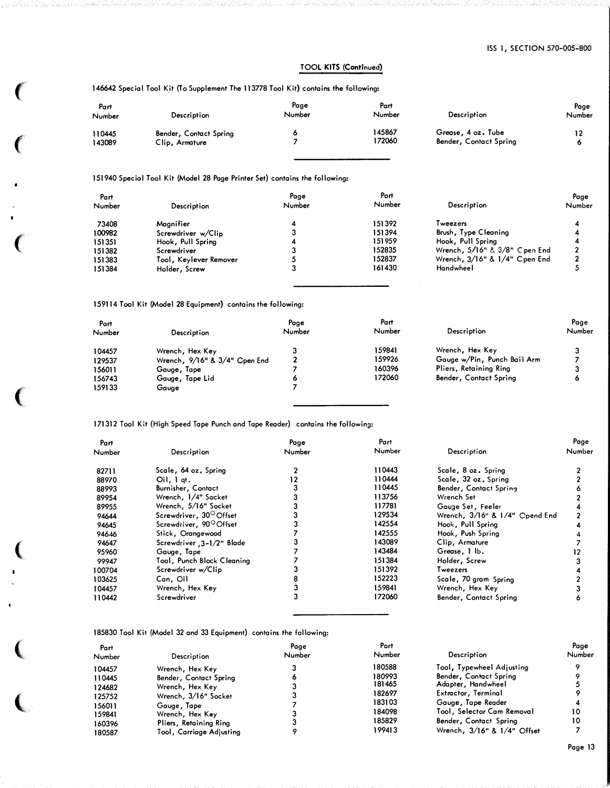### TOOL KITS (Continued)

146642 Special Tool Kit (To Supplement The 113778 Tool Kit) contains the following:

 $\big($ 

 $\epsilon$ 

 $\big($ 

 $\big($ 

(

 $\big($ 

 $\overline{\mathbb{C}}$ 

| Part<br>Number   | Description                              | Page<br>Number | Part<br>Number   | <b>Description</b>                           | Page<br>Number |
|------------------|------------------------------------------|----------------|------------------|----------------------------------------------|----------------|
| 110445<br>143089 | Bender, Contact Spring<br>Clip, Armature |                | 145867<br>172060 | Grease, 4 oz. Tube<br>Bender, Contact Spring | 12             |

#### 151940 Special Tool Kit (Model 28 Page Printer Set) contains the following:

| Part<br>Number | Description            | Page<br>Number | Part<br>Number | Description                   | Page<br>Number |
|----------------|------------------------|----------------|----------------|-------------------------------|----------------|
| 73408          | Magnifier              |                | 151392         | Tweezers                      |                |
| 100982         | Screwdriver w/Clip     |                | 151394         | Brush, Type Cleaning          |                |
| 151351         | Hook, Pull Spring      |                | 151959         | Hook, Pull Spring             |                |
| 151382         | Screwdriver            | - 3            | 152835         | Wrench, 5/16" & 3/8" Cpen End | 2.             |
| 151383         | Tool, Keylever Remover |                | 152837         | Wrench, 3/16" & 1/4" Cpen End | 2              |
| 151384         | Holder, Screw          |                | 161430         | Handwheel                     |                |

#### 159114 Tool Kit (Model 28 Equipment) contains the following:

| Part<br>Number | Description                   | Page<br>Number | Part<br>Number | Description                 | Page<br>Number |
|----------------|-------------------------------|----------------|----------------|-----------------------------|----------------|
| 104457         | Wrench, Hex Key               |                | 159841         | Wrench, Hex Key             |                |
| 129537         | Wrench, 9/16" & 3/4" Cpen End | າ              | 159926         | Gauge w/Pin, Punch Bail Arm |                |
| 156011         | Gauge, Tape                   |                | 160396         | Pliers, Retaining Ring      |                |
| 156743         | Gauge, Tape Lid               |                | 172060         | Bender, Contact Spring      |                |
| 159133         | Gauge                         |                |                |                             |                |

#### 171312 Tool Kit (High Speed Tape Punch and Tape Reader) contains the following:

| Part   |                                     | Page   | Part   |                                | Page   |
|--------|-------------------------------------|--------|--------|--------------------------------|--------|
| Number | Description                         | Number | Number | Description                    | Number |
| 82711  | Scale, 64 oz. Spring                |        | 110443 | Scale, 8 oz. Spring            |        |
| 88970  | $Oil,$ 1 at.                        |        | 110444 | Scale, 32 oz. Spring           |        |
| 88993  | <b>Burnisher, Contact</b>           |        | 110445 | Bender, Contact Spring         |        |
| 89954  | Wrench, 1/4" Socket                 |        | 113756 | Wrench Set                     |        |
| 89955  | Wrench, 5/16" Socket                |        | 117781 | Gauge Set, Feeler              |        |
| 94644  | Screwdriver, 30 <sup>O</sup> Offset |        | 129534 | Wrench, 3/16" & 1/4" Cpend End |        |
| 94645  | Screwdriver, 90°Offset              |        | 142554 | Hook, Pull Spring              |        |
| 94646  | Stick, Orangewood                   |        | 142555 | Hook, Push Spring              |        |
| 94647  | Screwdriver 3-1/2" Blade            |        | 143089 | Clip, Armature                 |        |
| 95960  | Gauge, Tape                         |        | 143484 | Grease, 1 lb.                  |        |
| 99947  | Tool, Punch Block Cleaning          |        | 151384 | Holder, Screw                  |        |
| 100704 | Screwdriver w/Clip                  |        | 151392 | Tweezers                       |        |
| 103625 | Can, Oil                            |        | 152223 | Scale, 70 gram Spring          |        |
| 104457 | Wrench, Hex Key                     |        | 159841 | Wrench, Hex Key                |        |
| 110442 | Screwdriver                         |        | 172060 | Bender, Contact Spring         |        |

185830 Tool Kit (Model 32 and 33 Equipment) contains the following:

| Part<br>Number | <b>Description</b>       | Page<br>Number | Part<br>Number | <b>Description</b>          | Page<br>Number |
|----------------|--------------------------|----------------|----------------|-----------------------------|----------------|
| 104457         | Wrench, Hex Key          |                | 180588         | Tool, Typewheel Adjusting   |                |
| 110445         | Bender, Contact Spring   |                | 180993         | Bender, Contact Spring      |                |
| 124682         | Wrench, Hex Key          |                | 181465         | Adapter, Handwheel          |                |
| 125752         | Wrench, 3/16" Socket     |                | 182697         | Extractor, Terminal         |                |
| 156011         | Gauge, Tape              |                | 183103         | Gauge, Tape Reader          |                |
| 159841         | Wrench, Hex Key          |                | 184098         | Tool, Selector Cam Removal  | 10             |
| 160396         | Pliers, Retaining Ring   |                | 185829         | Bender, Contact Spring      | 10             |
| 180587         | Tool, Carriage Adjusting |                | 199413         | Wrench, 3/16" & 1/4" Offset |                |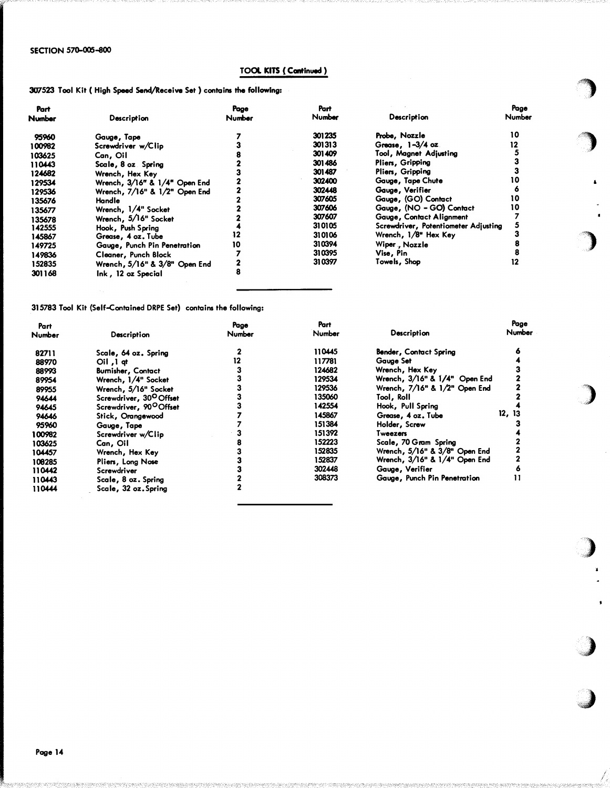# TOOL KITS ( Continued )

·�

 $\blacksquare$ 

)

)

·�)

 $\bullet$ 

.;J

### 307523 Tool Kit (High Speed Send/Receive Set) contains the following:

| Part   |                               | Page   | Part   |                                      | Page   |  |
|--------|-------------------------------|--------|--------|--------------------------------------|--------|--|
| Number | Description                   | Number | Number | Description                          | Number |  |
| 95960  | Gauge, Tape                   |        | 301235 | Probe, Nozzle                        | 10     |  |
| 100982 | Screwdriver w/Clip            |        | 301313 | Grease, $1-3/4$ oz.                  | 12     |  |
| 103625 | Can, Oil                      |        | 301409 | Tool, Magnet Adjusting               |        |  |
| 110443 | Scale, 8 oz Spring            |        | 301486 | Pliers, Gripping                     |        |  |
| 124682 | Wrench, Hex Key               |        | 301487 | Pliers, Gripping                     |        |  |
| 129534 | Wrench, 3/16" & 1/4" Open End |        | 302400 | Gauge, Tape Chute                    |        |  |
| 129536 | Wrench, 7/16" & 1/2" Open End |        | 302448 | Gauge, Verifier                      |        |  |
| 135676 | Handle                        |        | 307605 | Gauge, (GO) Contact                  | 10     |  |
| 135677 | Wrench, 1/4" Socket           |        | 307606 | Gauge, (NO - GO) Contact             | 10     |  |
| 135678 | Wrench, 5/16" Socket          |        | 307607 | Gauge, Contact Alignment             |        |  |
| 142555 | Hook, Push Spring             |        | 310105 | Screwdriver, Potentiometer Adjusting |        |  |
| 145867 | Grease, 4 oz. Tube            |        | 310106 | Wrench, 1/8" Hex Key                 |        |  |
| 149725 | Gauge, Punch Pin Penetration  |        | 310394 | Wiper, Nozzle                        |        |  |
| 149836 | Cleaner, Punch Block          |        | 310395 | Vise, Pin                            |        |  |
| 152835 | Wrench, 5/16" & 3/8" Open End |        | 310397 | Towels, Shop                         | 12     |  |
| 301168 | Ink, 12 oz Special            |        |        |                                      |        |  |
|        |                               |        |        |                                      |        |  |

315783 Tool Kit (Self-contained DRPE Set) contains the following:

| Part<br>Number | Description                         | Page<br>Number | Part<br>Number | Description                   | Page<br>Number |
|----------------|-------------------------------------|----------------|----------------|-------------------------------|----------------|
|                |                                     |                |                |                               |                |
| 82711          | Scale, 64 oz. Spring                |                | 110445         | <b>Bender, Contact Spring</b> | 6              |
| 88970          | $ceil$ , $1$ of                     | 12             | 117781         | Gauge Set                     |                |
| 88993          | <b>Burnisher, Contact</b>           |                | 124682         | Wrench, Hex Key               |                |
| 89954          | Wrench, 1/4" Socket                 |                | 129534         | Wrench, 3/16" & 1/4" Open End |                |
| 89955          | Wrench, 5/16" Socket                |                | 129536         | Wrench, 7/16" & 1/2" Open End |                |
| 94644          | Screwdriver, 30 <sup>0</sup> Offset |                | 135060         | Tool, Roll                    |                |
| 94645          | Screwdriver, 90 <sup>O</sup> Offset |                | 142554         | Hook, Pull Spring             |                |
| 94646          | Stick, Orangewood                   |                | 145867         | Grease, 4 oz. Tube            | 12, 13         |
| 95960          | Gauge, Tape                         |                | 151384         | Holder, Screw                 |                |
| 100982         | Screwdriver w/Clip                  |                | 151392         | Tweezers                      |                |
| 103625         | Can, Oil                            |                | 152223         | Scale, 70 Gram Spring         |                |
| 104457         | Wrench, Hex Key                     |                | 152835         | Wrench, 5/16" & 3/8" Open End |                |
| 100285         | Pliers, Long Nose                   |                | 152837         | Wrench, 3/16" & 1/4" Open End |                |
| 110442         | Screwdriver                         |                | 302448         | Gauge, Verifier               | ۰              |
| 110443         | Scale, 8 oz. Spring                 |                | 308373         | Gauge, Punch Pin Penetration  | п              |
| 110444         | Scale, 32 oz. Spring                |                |                |                               |                |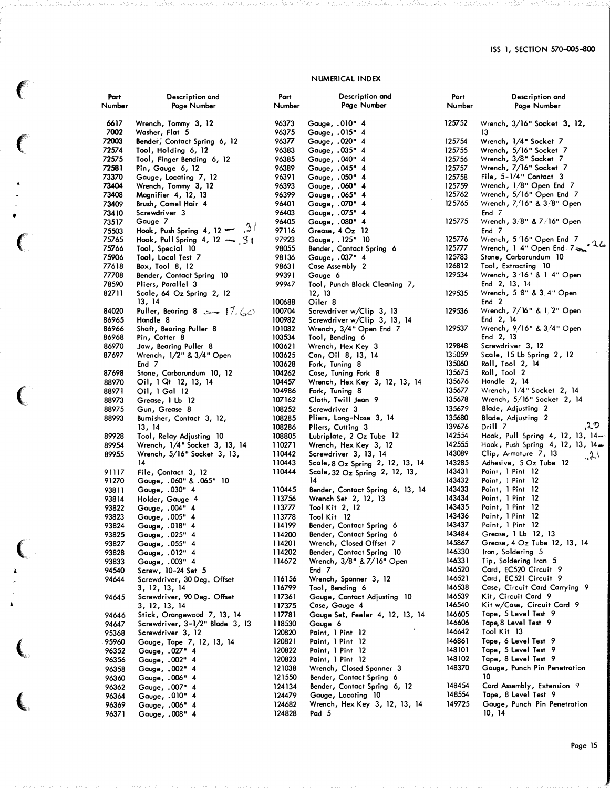## NUMERICAL INDEX

 $\big($ 

 $\big($ 

À.

t

 $\epsilon$ 

 $\epsilon$ 

 $\big($ 

 $\begin{array}{c} \bullet \\ \bullet \end{array}$ 

 $\pmb{\ast}$ 

 $\big($ 

(.

| Part<br>Number | Description and<br>Page Number                 | Part<br>Number   | Description and<br>Page Number                       | Part<br>Number   | Description and<br>Page Number                      |
|----------------|------------------------------------------------|------------------|------------------------------------------------------|------------------|-----------------------------------------------------|
| 6617           | Wrench, Tommy 3, 12                            | 96373            | Gauge, .010" 4                                       | 125752           | Wrench, 3/16" Socket 3, 12,                         |
| 7002           | Washer, Flat 5                                 | 96375            | Gauge, .015" 4                                       |                  | 13                                                  |
| 72003          | Bender, Contact Spring 6, 12                   | 96377            | Gauge, .020" 4                                       | 125754           | Wrench, 1/4" Socket 7                               |
| 72574          | Tool, Holding 6, 12                            | 96383            | Gauge, .035" 4                                       | 125755           | Wrench, 5/16" Socket 7                              |
| 72575          | Too!, Finger Bending 6, 12                     | 96385            | Gauge, .040" 4                                       | 125756           | Wrench, 3/8" Socket 7                               |
| 72581          | Pin, Gauge 6, 12                               | 96389            | Gauge, .045" 4                                       | 125757           | Wrench, 7/16" Socket 7                              |
| 73370          | Gauge, Locating 7, 12                          | 96391            | Gauge, .050" 4                                       | 125758           | File, $5-1/4$ " Contact 3                           |
| 73404<br>73408 | Wrench, Tommy 3, 12                            | 96393<br>96399   | Gauge, .060" 4                                       | 125759<br>125762 | Wrench, 1/8" Open End 7<br>Wrench, 5/16" Open End 7 |
| 73409          | Magnifier 4, 12, 13<br>Brush, Camel Hair 4     | 96401            | Gauge, .065" 4<br>Gauge, .070" 4                     | 125765           | Wrench, 7/16" & 3/8" Open                           |
| 73410          | Screwdriver 3                                  | 96403            | 4 "Gauge, .075                                       |                  | End $7$                                             |
| 73517          | Gauge 7                                        | 96405            | Gauge, .080" 4                                       | 125775           | Wrench, 3/8" & 7/16" Open                           |
| 75503          | Hook, Push Spring 4, 12 $\sim$ 3               | 97116            | Grease, 4 Oz 12                                      |                  | End 7                                               |
| 75765          | Hook, Pull Spring 4, 12 $\sim$ 31              | 97923            | Gauge, . 125" 10                                     | 125776           | Wrench, 5/16" Open End 7<br>26                      |
| 75766          | Tool, Special 10                               | 98055            | Bender, Contact Spring 6                             | 125777           | Wrench, 1 4" Open End 7                             |
| 75906          | Tool, Local Test 7                             | 98136            | Gauge, .037" 4                                       | 125783           | Stone, Carborundum 10                               |
| 77618          | Box, Tool $8, 12$                              | 98631            | Case Assembly 2                                      | 126812           | Tool, Extracting 10                                 |
| 77708          | Bender, Contact Spring 10                      | 99391            | Gauge 6                                              | 129534           | Wrench, 3 16" & 1 4" Open                           |
| 78590          | Pliers, Parallel 3                             | 99947            | Tool, Punch Block Cleaning 7,                        |                  | End 2, 13, 14                                       |
| 82711          | Scale, 64 Oz Spring 2, 12                      |                  | 12, 13                                               | 129535           | Wrench, 5 8" & 3 4" Open<br>End 2                   |
| 84020          | 13, 14<br>Puller, Bearing 8 $\sim$ 17, 60      | 100688<br>100704 | Oiler 8<br>Screwdriver w/Clip 3, 13                  | 129536           | Wrench, 7/16" & 1/2" Open                           |
| 86965          | Handle 8                                       | 100982           | Screwdriver w/Clip 3, 13, 14                         |                  | End 2, 14                                           |
| 86966          | Shaft, Bearing Puller 8                        | 101082           | Wrench, 3/4" Open End 7                              | 129537           | Wrench, 9/16" & 3/4" Open                           |
| 86968          | Pin, Cotter 8                                  | 103534           | Tool, Bending 6                                      |                  | End 2, 13                                           |
| 86970          | Jaw, Bearing Puller 8                          | 103621           | Wrench, Hex Key 3                                    | 129848           | Screwdriver 3, 12                                   |
| 87697          | Wrench, 1/2" & 3/4" Open                       | 103625           | Can, Oil 8, 13, 14                                   | 135059           | Scale,15 Lb Spring 2,12                             |
|                | End 7                                          | 103628           | Fork, Tuning 8                                       | 135060           | Roll, Tool 2, 14                                    |
| 87698          | Stone, Carborundum 10, 12                      | 104262           | Case, Tuning Fork 8                                  | 135675           | Roll, Tool 2                                        |
| 88970          | $O1$ , 1 Qt 12, 13, 14                         | 104457           | Wrench, Hex Key 3, 12, 13, 14                        | 135676           | Handle 2, 14                                        |
| 88971          | Oil, 1 Gal 12                                  | 104986           | Fork, Tuning 8                                       | 135677           | Wrench, 1/4" Socket 2, 14                           |
| 88973          | Grease, 1 Lb 12                                | 107162           | Cloth, Twill Jean 9                                  | 135678           | Wrench, 5/16" Socket 2, 14                          |
| 88975          | Gun, Grease 8                                  | 108252<br>108285 | Screwdriver 3                                        | 135679<br>135680 | Blade, Adjusting 2<br>Blade, Adjusting 2            |
| 88993          | Burnisher, Contact 3, 12,<br>13, 14            | 108286           | Pliers, Long-Nose 3, 14<br>Pliers, Cutting 3         | 139676           | .20<br>Drill 7                                      |
| 89928          | Tool, Relay Adjusting 10                       | 108805           | Lubriplate, 2 Oz Tube 12                             | 142554           | Hook, Pull Spring 4, 12, 13, 14-                    |
| 89954          | Wrench, 1/4" Socket 3, 13, 14                  | 110271           | Wrench, Hex Key 3, 12                                | 142555           | Hook, Push Spring 4, 12, 13, 14                     |
| 89955          | Wrench, 5/16" Socket 3, 13,                    | 110442           | Screwdriver 3, 13, 14                                | 143089           | Clip, Armature 7, 13<br>2.1                         |
|                | 14                                             | 110443           | Scale, 8 Oz Spring 2, 12, 13, 14                     | 143285           | Adhesive, 5 Oz Tube 12                              |
| 91117          | File, Contact 3, 12                            | 110444           | Scale, $32$ Oz Spring $2$ , 12, 13,                  | 143431           | Paint, 1 Pint 12                                    |
| 91270          | 10 "Gauge, .060" & .065.                       |                  | 14                                                   | 143432           | Paint, 1 Pint 12                                    |
| 93811          | Gauge, .030" 4                                 | 110445           | Bender, Contact Spring 6, 13, 14                     | 143433           | Paint, 1 Pint 12                                    |
| 93814          | Holder, Gauge 4                                | 113756           | Wrench Set 2, 12, 13                                 | 143434           | Paint, 1 Pint 12                                    |
| 93822          | Gauge, .004" 4                                 | 113777           | Tool Kit 2, 12                                       | 143435           | Paint, 1 Pint 12                                    |
| 93823          | Gauge, .005" 4                                 | 113778           | Tool Kit 12                                          | 143436<br>143437 | Paint, 1 Pint 12                                    |
| 93824<br>93825 | 4 "Gauge, .018                                 | 114199<br>114200 | Bender, Contact Spring 6<br>Bender, Contact Spring 6 | 143484           | Paint, 1 Pint 12<br>Grease, 1 Lb 12, 13             |
| 93827          | Gauge, .025" 4<br>4 "Gauge, .055               | 114201           | Wrench, Closed Offset 7                              | 145867           | Grease, 4 Oz Tube 12, 13, 14                        |
| 93828          | 4 "Gauge, .012                                 | 114202           | Bender, Contact Spring 10                            | 146330           | Iron, Soldering 5                                   |
| 93833          | Gauge, .003" 4                                 | 114672           | Wrench, 3/8" & 7/16" Open                            | 146331           | Tip, Soldering Iran 5                               |
| 94540          | Screw, 10–24 Set 5                             |                  | End 7                                                | 146520           | Card, EC520 Circuit 9                               |
| 94644          | Screwdriver, 30 Deg. Offset                    | 116156           | Wrench, Spanner 3, 12                                | 146521           | Card, EC521 Circuit 9                               |
|                | 3, 12, 13, 14                                  | 116799           | Tool, Bending 6                                      | 146538           | Case, Circuit Card Carrying 9                       |
| 94645          | Screwdriver, 90 Deg. Offset                    | 117361           | Gauge, Contact Adjusting 10                          | 146539           | Kit, Circuit Card 9                                 |
|                | 3, 12, 13, 14                                  | 117375           | Case, Gauge 4                                        | 146540           | Kit w/Case, Circuit Card 9                          |
| 94646          | Stick, Orangewood 7, 13, 14                    | 117781           | Gauge Set, Feeler 4, 12, 13, 14                      | 146605<br>146606 | Tape, 5 Level Test 9<br>Tape, 8 Level Test 9        |
| 94647          | Screwdriver, 3-1/2" Blade 3, 13                | 118530<br>120820 | Gauge 6<br>Paint, 1 Pint 12                          | 146642           | Tool Kit 13                                         |
| 95368<br>95960 | Screwdriver 3, 12<br>Gauge, Tape 7, 12, 13, 14 | 120821           | Paint, 1 Pint 12                                     | 146861           | Tape, 6 Level Test 9                                |
| 96352          | Gauge, .027" 4                                 | 120822           | Paint, 1 Pint 12                                     | 148 10 1         | Tape, 5 Level Test 9                                |
| 96356          | Gauge, .002" 4                                 | 120823           | Paint, 1 Pint 12                                     | 148102           | Tape, 8 Level Test 9                                |
| 96358          | Gauge, .002" 4                                 | 121038           | Wrench, Closed Spanner 3                             | 148370           | Gauge, Punch Pin Penetration                        |
| 96360          | Gauge, .006" 4                                 | 121550           | Bender, Contact Spring 6                             |                  | 10                                                  |
| 96362          | Gauge, .007" 4                                 | 124134           | Bender, Contact Spring 6, 12                         | 148454           | Card Assembly, Extension 9                          |
| 96364          | Gauge, .010" 4                                 | 124479           | Gauge, Locating 10                                   | 148554           | Tape, 8 Level Test 9                                |
| 96369          | Gauge, .006" 4                                 | 124682           | Wrench, Hex Key 3, 12, 13, 14                        | 149725           | Gauge, Punch Pin Penetration                        |
| 96371          | Gauge, .008" 4                                 | 124828           | Pad 5                                                |                  | 10, 14                                              |